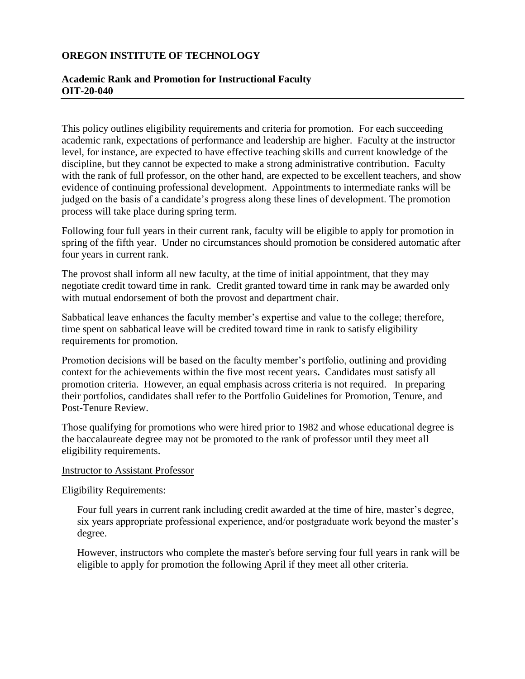## **OREGON INSTITUTE OF TECHNOLOGY**

# **Academic Rank and Promotion for Instructional Faculty OIT-20-040**

This policy outlines eligibility requirements and criteria for promotion. For each succeeding academic rank, expectations of performance and leadership are higher. Faculty at the instructor level, for instance, are expected to have effective teaching skills and current knowledge of the discipline, but they cannot be expected to make a strong administrative contribution. Faculty with the rank of full professor, on the other hand, are expected to be excellent teachers, and show evidence of continuing professional development. Appointments to intermediate ranks will be judged on the basis of a candidate's progress along these lines of development. The promotion process will take place during spring term.

Following four full years in their current rank, faculty will be eligible to apply for promotion in spring of the fifth year. Under no circumstances should promotion be considered automatic after four years in current rank.

The provost shall inform all new faculty, at the time of initial appointment, that they may negotiate credit toward time in rank. Credit granted toward time in rank may be awarded only with mutual endorsement of both the provost and department chair.

Sabbatical leave enhances the faculty member's expertise and value to the college; therefore, time spent on sabbatical leave will be credited toward time in rank to satisfy eligibility requirements for promotion.

Promotion decisions will be based on the faculty member's portfolio, outlining and providing context for the achievements within the five most recent years**.** Candidates must satisfy all promotion criteria. However, an equal emphasis across criteria is not required.In preparing their portfolios, candidates shall refer to the Portfolio Guidelines for Promotion, Tenure, and Post-Tenure Review.

Those qualifying for promotions who were hired prior to 1982 and whose educational degree is the baccalaureate degree may not be promoted to the rank of professor until they meet all eligibility requirements.

#### Instructor to Assistant Professor

Eligibility Requirements:

Four full years in current rank including credit awarded at the time of hire, master's degree, six years appropriate professional experience, and/or postgraduate work beyond the master's degree.

However, instructors who complete the master's before serving four full years in rank will be eligible to apply for promotion the following April if they meet all other criteria.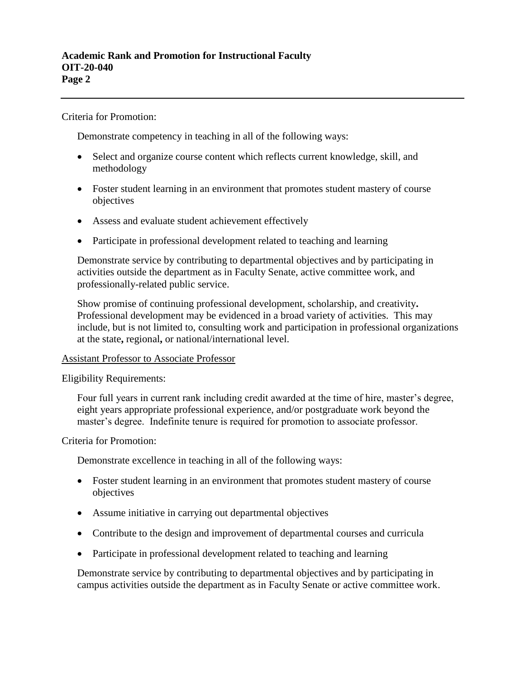Criteria for Promotion:

Demonstrate competency in teaching in all of the following ways:

- Select and organize course content which reflects current knowledge, skill, and methodology
- Foster student learning in an environment that promotes student mastery of course objectives
- Assess and evaluate student achievement effectively
- Participate in professional development related to teaching and learning

Demonstrate service by contributing to departmental objectives and by participating in activities outside the department as in Faculty Senate, active committee work, and professionally-related public service.

Show promise of continuing professional development, scholarship, and creativity**.** Professional development may be evidenced in a broad variety of activities. This may include, but is not limited to, consulting work and participation in professional organizations at the state**,** regional**,** or national/international level.

#### Assistant Professor to Associate Professor

Eligibility Requirements:

Four full years in current rank including credit awarded at the time of hire, master's degree, eight years appropriate professional experience, and/or postgraduate work beyond the master's degree. Indefinite tenure is required for promotion to associate professor.

Criteria for Promotion:

Demonstrate excellence in teaching in all of the following ways:

- Foster student learning in an environment that promotes student mastery of course objectives
- Assume initiative in carrying out departmental objectives
- Contribute to the design and improvement of departmental courses and curricula
- Participate in professional development related to teaching and learning

Demonstrate service by contributing to departmental objectives and by participating in campus activities outside the department as in Faculty Senate or active committee work.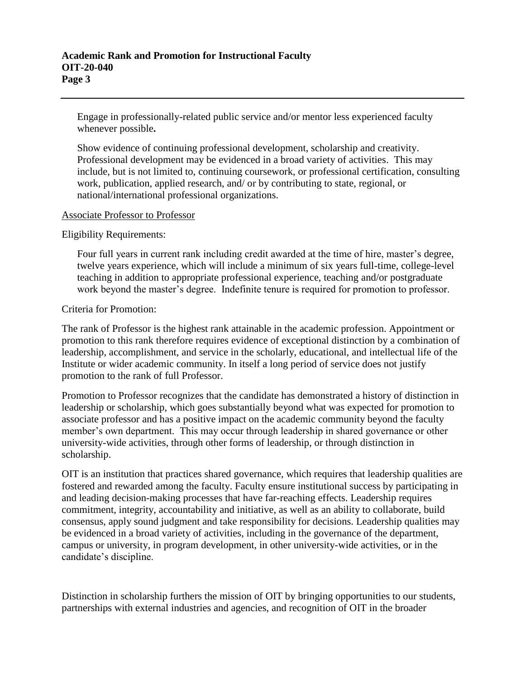Engage in professionally-related public service and/or mentor less experienced faculty whenever possible**.**

Show evidence of continuing professional development, scholarship and creativity. Professional development may be evidenced in a broad variety of activities. This may include, but is not limited to, continuing coursework, or professional certification, consulting work, publication, applied research, and/ or by contributing to state, regional, or national/international professional organizations.

### Associate Professor to Professor

Eligibility Requirements:

Four full years in current rank including credit awarded at the time of hire, master's degree, twelve years experience, which will include a minimum of six years full-time, college-level teaching in addition to appropriate professional experience, teaching and/or postgraduate work beyond the master's degree. Indefinite tenure is required for promotion to professor.

### Criteria for Promotion:

The rank of Professor is the highest rank attainable in the academic profession. Appointment or promotion to this rank therefore requires evidence of exceptional distinction by a combination of leadership, accomplishment, and service in the scholarly, educational, and intellectual life of the Institute or wider academic community. In itself a long period of service does not justify promotion to the rank of full Professor.

Promotion to Professor recognizes that the candidate has demonstrated a history of distinction in leadership or scholarship, which goes substantially beyond what was expected for promotion to associate professor and has a positive impact on the academic community beyond the faculty member's own department. This may occur through leadership in shared governance or other university-wide activities, through other forms of leadership, or through distinction in scholarship.

OIT is an institution that practices shared governance, which requires that leadership qualities are fostered and rewarded among the faculty. Faculty ensure institutional success by participating in and leading decision-making processes that have far-reaching effects. Leadership requires commitment, integrity, accountability and initiative, as well as an ability to collaborate, build consensus, apply sound judgment and take responsibility for decisions. Leadership qualities may be evidenced in a broad variety of activities, including in the governance of the department, campus or university, in program development, in other university-wide activities, or in the candidate's discipline.

Distinction in scholarship furthers the mission of OIT by bringing opportunities to our students, partnerships with external industries and agencies, and recognition of OIT in the broader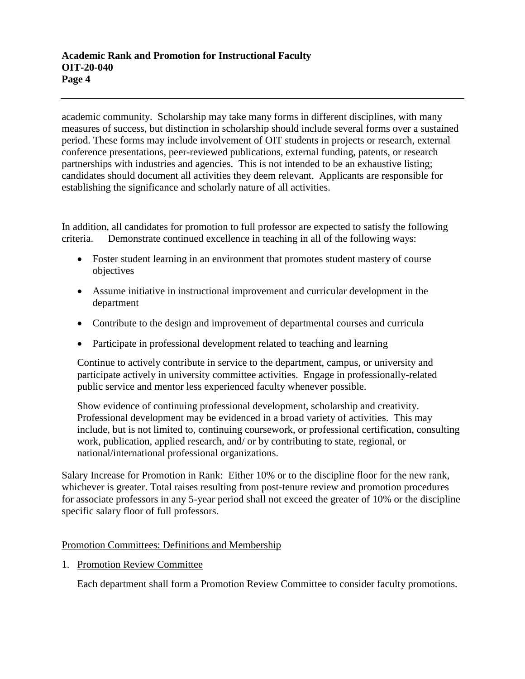academic community. Scholarship may take many forms in different disciplines, with many measures of success, but distinction in scholarship should include several forms over a sustained period. These forms may include involvement of OIT students in projects or research, external conference presentations, peer-reviewed publications, external funding, patents, or research partnerships with industries and agencies. This is not intended to be an exhaustive listing; candidates should document all activities they deem relevant. Applicants are responsible for establishing the significance and scholarly nature of all activities.

In addition, all candidates for promotion to full professor are expected to satisfy the following criteria. Demonstrate continued excellence in teaching in all of the following ways:

- Foster student learning in an environment that promotes student mastery of course objectives
- Assume initiative in instructional improvement and curricular development in the department
- Contribute to the design and improvement of departmental courses and curricula
- Participate in professional development related to teaching and learning

Continue to actively contribute in service to the department, campus, or university and participate actively in university committee activities. Engage in professionally-related public service and mentor less experienced faculty whenever possible.

Show evidence of continuing professional development, scholarship and creativity. Professional development may be evidenced in a broad variety of activities. This may include, but is not limited to, continuing coursework, or professional certification, consulting work, publication, applied research, and/ or by contributing to state, regional, or national/international professional organizations.

Salary Increase for Promotion in Rank: Either 10% or to the discipline floor for the new rank, whichever is greater. Total raises resulting from post-tenure review and promotion procedures for associate professors in any 5-year period shall not exceed the greater of 10% or the discipline specific salary floor of full professors.

### Promotion Committees: Definitions and Membership

1. Promotion Review Committee

Each department shall form a Promotion Review Committee to consider faculty promotions.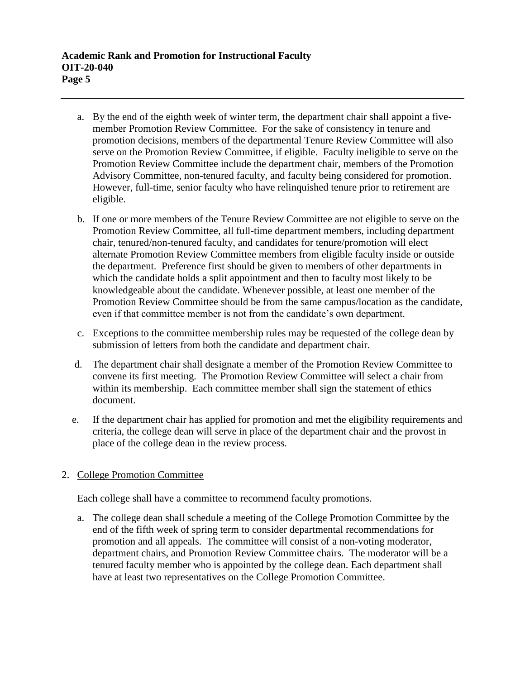- a. By the end of the eighth week of winter term, the department chair shall appoint a fivemember Promotion Review Committee. For the sake of consistency in tenure and promotion decisions, members of the departmental Tenure Review Committee will also serve on the Promotion Review Committee, if eligible. Faculty ineligible to serve on the Promotion Review Committee include the department chair, members of the Promotion Advisory Committee, non-tenured faculty, and faculty being considered for promotion. However, full-time, senior faculty who have relinquished tenure prior to retirement are eligible.
- b. If one or more members of the Tenure Review Committee are not eligible to serve on the Promotion Review Committee, all full-time department members, including department chair, tenured/non-tenured faculty, and candidates for tenure/promotion will elect alternate Promotion Review Committee members from eligible faculty inside or outside the department. Preference first should be given to members of other departments in which the candidate holds a split appointment and then to faculty most likely to be knowledgeable about the candidate. Whenever possible, at least one member of the Promotion Review Committee should be from the same campus/location as the candidate, even if that committee member is not from the candidate's own department.
- c. Exceptions to the committee membership rules may be requested of the college dean by submission of letters from both the candidate and department chair.
- d. The department chair shall designate a member of the Promotion Review Committee to convene its first meeting. The Promotion Review Committee will select a chair from within its membership. Each committee member shall sign the statement of ethics document.
- e. If the department chair has applied for promotion and met the eligibility requirements and criteria, the college dean will serve in place of the department chair and the provost in place of the college dean in the review process.

# 2. College Promotion Committee

Each college shall have a committee to recommend faculty promotions.

a. The college dean shall schedule a meeting of the College Promotion Committee by the end of the fifth week of spring term to consider departmental recommendations for promotion and all appeals. The committee will consist of a non-voting moderator, department chairs, and Promotion Review Committee chairs. The moderator will be a tenured faculty member who is appointed by the college dean. Each department shall have at least two representatives on the College Promotion Committee.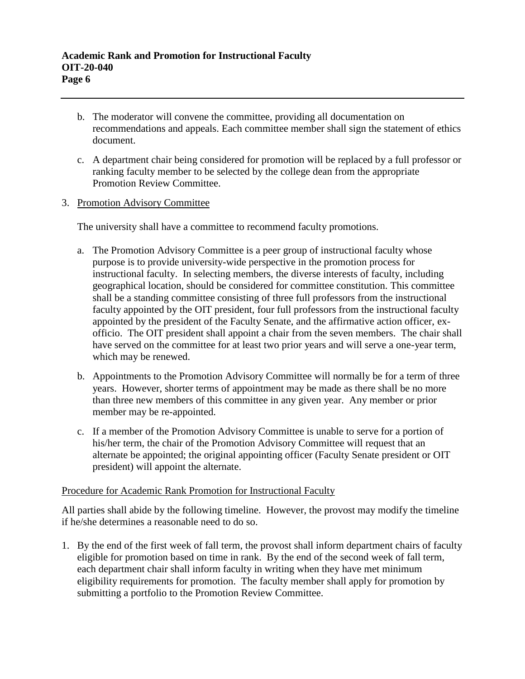- b. The moderator will convene the committee, providing all documentation on recommendations and appeals. Each committee member shall sign the statement of ethics document.
- c. A department chair being considered for promotion will be replaced by a full professor or ranking faculty member to be selected by the college dean from the appropriate Promotion Review Committee.

## 3. Promotion Advisory Committee

The university shall have a committee to recommend faculty promotions.

- a. The Promotion Advisory Committee is a peer group of instructional faculty whose purpose is to provide university-wide perspective in the promotion process for instructional faculty. In selecting members, the diverse interests of faculty, including geographical location, should be considered for committee constitution. This committee shall be a standing committee consisting of three full professors from the instructional faculty appointed by the OIT president, four full professors from the instructional faculty appointed by the president of the Faculty Senate, and the affirmative action officer, exofficio. The OIT president shall appoint a chair from the seven members. The chair shall have served on the committee for at least two prior years and will serve a one-year term, which may be renewed.
- b. Appointments to the Promotion Advisory Committee will normally be for a term of three years. However, shorter terms of appointment may be made as there shall be no more than three new members of this committee in any given year. Any member or prior member may be re-appointed.
- c. If a member of the Promotion Advisory Committee is unable to serve for a portion of his/her term, the chair of the Promotion Advisory Committee will request that an alternate be appointed; the original appointing officer (Faculty Senate president or OIT president) will appoint the alternate.

### Procedure for Academic Rank Promotion for Instructional Faculty

All parties shall abide by the following timeline. However, the provost may modify the timeline if he/she determines a reasonable need to do so.

1. By the end of the first week of fall term, the provost shall inform department chairs of faculty eligible for promotion based on time in rank. By the end of the second week of fall term, each department chair shall inform faculty in writing when they have met minimum eligibility requirements for promotion. The faculty member shall apply for promotion by submitting a portfolio to the Promotion Review Committee.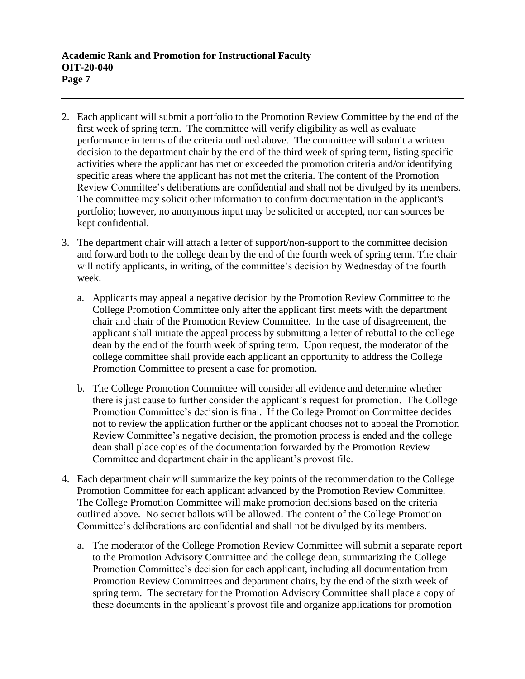- 2. Each applicant will submit a portfolio to the Promotion Review Committee by the end of the first week of spring term. The committee will verify eligibility as well as evaluate performance in terms of the criteria outlined above.The committee will submit a written decision to the department chair by the end of the third week of spring term, listing specific activities where the applicant has met or exceeded the promotion criteria and/or identifying specific areas where the applicant has not met the criteria. The content of the Promotion Review Committee's deliberations are confidential and shall not be divulged by its members. The committee may solicit other information to confirm documentation in the applicant's portfolio; however, no anonymous input may be solicited or accepted, nor can sources be kept confidential.
- 3. The department chair will attach a letter of support/non-support to the committee decision and forward both to the college dean by the end of the fourth week of spring term. The chair will notify applicants, in writing, of the committee's decision by Wednesday of the fourth week.
	- a. Applicants may appeal a negative decision by the Promotion Review Committee to the College Promotion Committee only after the applicant first meets with the department chair and chair of the Promotion Review Committee. In the case of disagreement, the applicant shall initiate the appeal process by submitting a letter of rebuttal to the college dean by the end of the fourth week of spring term. Upon request, the moderator of the college committee shall provide each applicant an opportunity to address the College Promotion Committee to present a case for promotion.
	- b. The College Promotion Committee will consider all evidence and determine whether there is just cause to further consider the applicant's request for promotion. The College Promotion Committee's decision is final. If the College Promotion Committee decides not to review the application further or the applicant chooses not to appeal the Promotion Review Committee's negative decision, the promotion process is ended and the college dean shall place copies of the documentation forwarded by the Promotion Review Committee and department chair in the applicant's provost file.
- 4. Each department chair will summarize the key points of the recommendation to the College Promotion Committee for each applicant advanced by the Promotion Review Committee. The College Promotion Committee will make promotion decisions based on the criteria outlined above.No secret ballots will be allowed. The content of the College Promotion Committee's deliberations are confidential and shall not be divulged by its members.
	- a. The moderator of the College Promotion Review Committee will submit a separate report to the Promotion Advisory Committee and the college dean, summarizing the College Promotion Committee's decision for each applicant, including all documentation from Promotion Review Committees and department chairs, by the end of the sixth week of spring term. The secretary for the Promotion Advisory Committee shall place a copy of these documents in the applicant's provost file and organize applications for promotion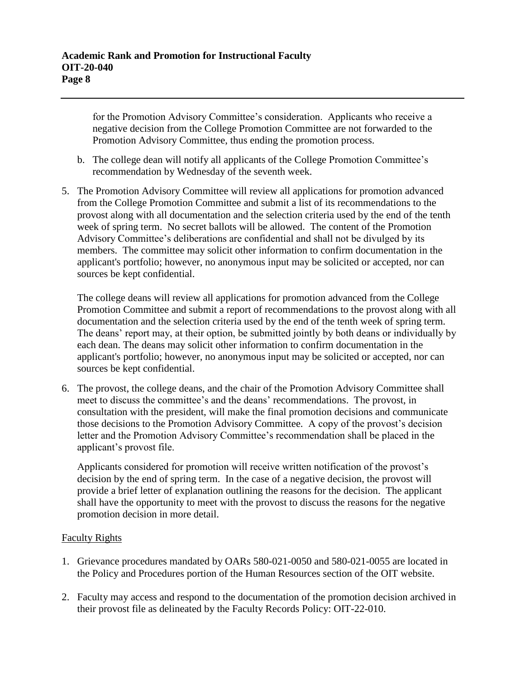for the Promotion Advisory Committee's consideration. Applicants who receive a negative decision from the College Promotion Committee are not forwarded to the Promotion Advisory Committee, thus ending the promotion process.

- b. The college dean will notify all applicants of the College Promotion Committee's recommendation by Wednesday of the seventh week.
- 5. The Promotion Advisory Committee will review all applications for promotion advanced from the College Promotion Committee and submit a list of its recommendations to the provost along with all documentation and the selection criteria used by the end of the tenth week of spring term.No secret ballots will be allowed. The content of the Promotion Advisory Committee's deliberations are confidential and shall not be divulged by its members. The committee may solicit other information to confirm documentation in the applicant's portfolio; however, no anonymous input may be solicited or accepted, nor can sources be kept confidential.

The college deans will review all applications for promotion advanced from the College Promotion Committee and submit a report of recommendations to the provost along with all documentation and the selection criteria used by the end of the tenth week of spring term. The deans' report may, at their option, be submitted jointly by both deans or individually by each dean. The deans may solicit other information to confirm documentation in the applicant's portfolio; however, no anonymous input may be solicited or accepted, nor can sources be kept confidential.

6. The provost, the college deans, and the chair of the Promotion Advisory Committee shall meet to discuss the committee's and the deans' recommendations. The provost, in consultation with the president, will make the final promotion decisions and communicate those decisions to the Promotion Advisory Committee. A copy of the provost's decision letter and the Promotion Advisory Committee's recommendation shall be placed in the applicant's provost file.

Applicants considered for promotion will receive written notification of the provost's decision by the end of spring term. In the case of a negative decision, the provost will provide a brief letter of explanation outlining the reasons for the decision. The applicant shall have the opportunity to meet with the provost to discuss the reasons for the negative promotion decision in more detail.

### Faculty Rights

- 1. Grievance procedures mandated by OARs 580-021-0050 and 580-021-0055 are located in the Policy and Procedures portion of the Human Resources section of the OIT website.
- 2. Faculty may access and respond to the documentation of the promotion decision archived in their provost file as delineated by the Faculty Records Policy: OIT-22-010.